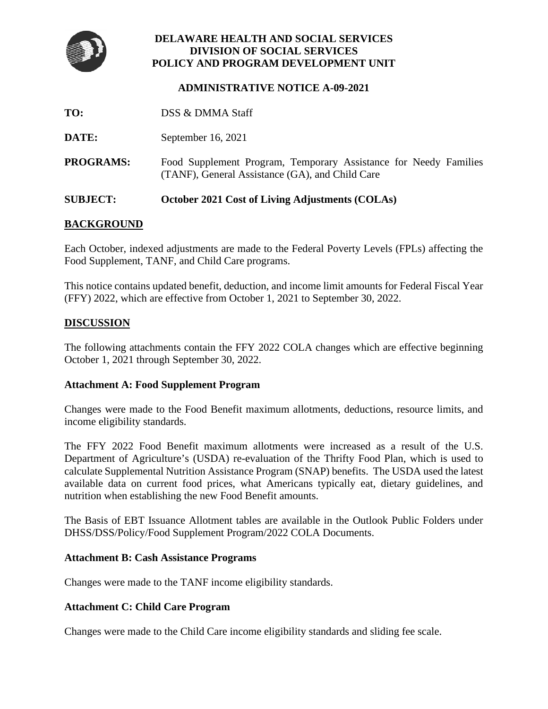

# **DELAWARE HEALTH AND SOCIAL SERVICES DIVISION OF SOCIAL SERVICES POLICY AND PROGRAM DEVELOPMENT UNIT**

## **ADMINISTRATIVE NOTICE A-09-2021**

- **TO:** DSS & DMMA Staff
- **DATE:** September 16, 2021
- **PROGRAMS:** Food Supplement Program, Temporary Assistance for Needy Families (TANF), General Assistance (GA), and Child Care

## **SUBJECT: October 2021 Cost of Living Adjustments (COLAs)**

# **BACKGROUND**

Each October, indexed adjustments are made to the Federal Poverty Levels (FPLs) affecting the Food Supplement, TANF, and Child Care programs.

This notice contains updated benefit, deduction, and income limit amounts for Federal Fiscal Year (FFY) 2022, which are effective from October 1, 2021 to September 30, 2022.

### **DISCUSSION**

The following attachments contain the FFY 2022 COLA changes which are effective beginning October 1, 2021 through September 30, 2022.

### **Attachment A: Food Supplement Program**

Changes were made to the Food Benefit maximum allotments, deductions, resource limits, and income eligibility standards.

The FFY 2022 Food Benefit maximum allotments were increased as a result of the U.S. Department of Agriculture's (USDA) re-evaluation of the Thrifty Food Plan, which is used to calculate Supplemental Nutrition Assistance Program (SNAP) benefits. The USDA used the latest available data on current food prices, what Americans typically eat, dietary guidelines, and nutrition when establishing the new Food Benefit amounts.

The Basis of EBT Issuance Allotment tables are available in the Outlook Public Folders under DHSS/DSS/Policy/Food Supplement Program/2022 COLA Documents.

### **Attachment B: Cash Assistance Programs**

Changes were made to the TANF income eligibility standards.

## **Attachment C: Child Care Program**

Changes were made to the Child Care income eligibility standards and sliding fee scale.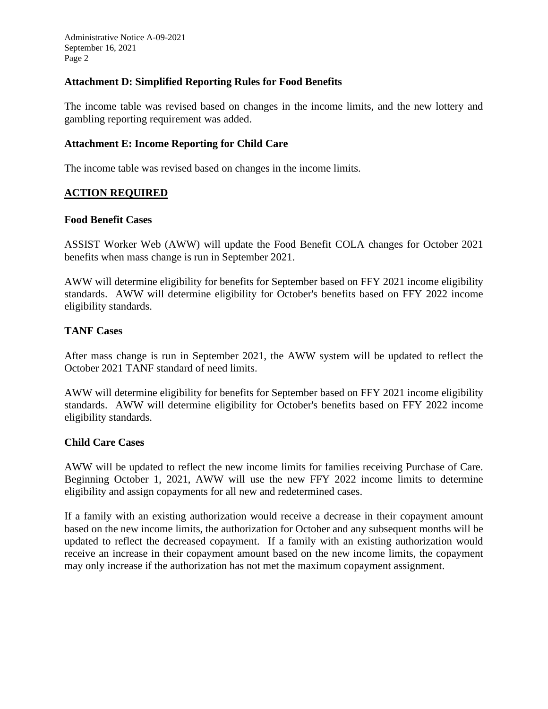Administrative Notice A-09-2021 September 16, 2021 Page 2

## **Attachment D: Simplified Reporting Rules for Food Benefits**

The income table was revised based on changes in the income limits, and the new lottery and gambling reporting requirement was added.

### **Attachment E: Income Reporting for Child Care**

The income table was revised based on changes in the income limits.

### **ACTION REQUIRED**

### **Food Benefit Cases**

ASSIST Worker Web (AWW) will update the Food Benefit COLA changes for October 2021 benefits when mass change is run in September 2021.

AWW will determine eligibility for benefits for September based on FFY 2021 income eligibility standards. AWW will determine eligibility for October's benefits based on FFY 2022 income eligibility standards.

### **TANF Cases**

After mass change is run in September 2021, the AWW system will be updated to reflect the October 2021 TANF standard of need limits.

AWW will determine eligibility for benefits for September based on FFY 2021 income eligibility standards. AWW will determine eligibility for October's benefits based on FFY 2022 income eligibility standards.

### **Child Care Cases**

AWW will be updated to reflect the new income limits for families receiving Purchase of Care. Beginning October 1, 2021, AWW will use the new FFY 2022 income limits to determine eligibility and assign copayments for all new and redetermined cases.

If a family with an existing authorization would receive a decrease in their copayment amount based on the new income limits, the authorization for October and any subsequent months will be updated to reflect the decreased copayment. If a family with an existing authorization would receive an increase in their copayment amount based on the new income limits, the copayment may only increase if the authorization has not met the maximum copayment assignment.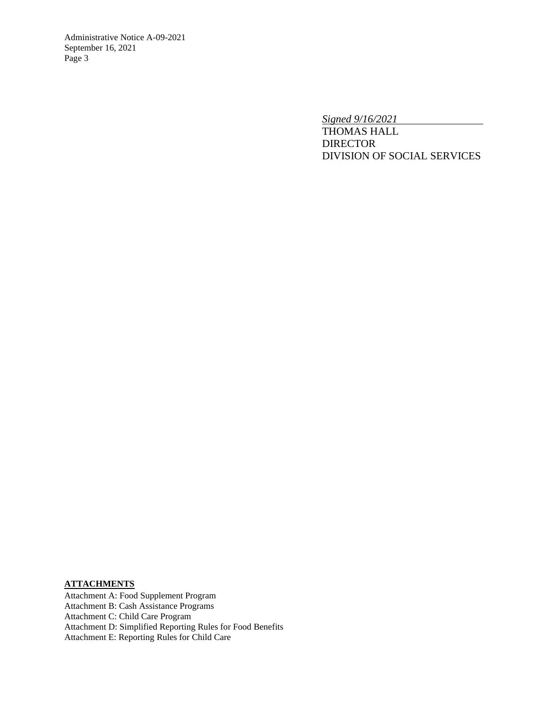Administrative Notice A-09-2021 September 16, 2021 Page 3

*Signed 9/16/2021*

THOMAS HALL **DIRECTOR** DIVISION OF SOCIAL SERVICES

## **ATTACHMENTS**

Attachment A: Food Supplement Program Attachment B: Cash Assistance Programs Attachment C: Child Care Program Attachment D: Simplified Reporting Rules for Food Benefits Attachment E: Reporting Rules for Child Care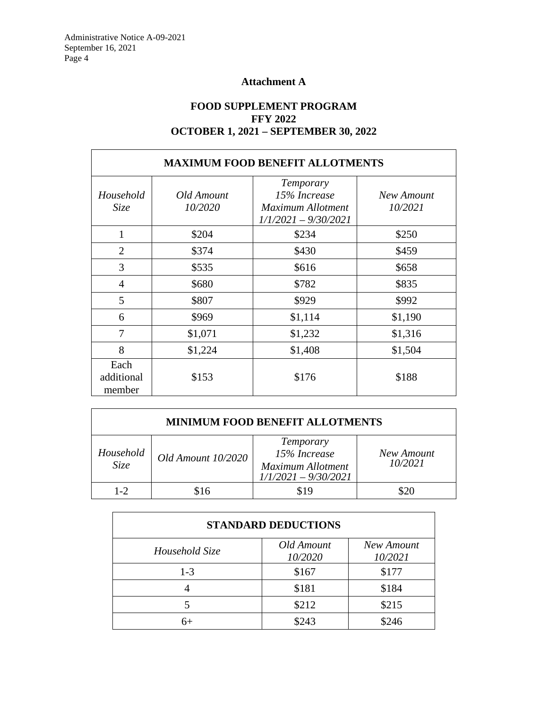# **Attachment A**

# **FOOD SUPPLEMENT PROGRAM FFY 2022 OCTOBER 1, 2021 – SEPTEMBER 30, 2022**

| <b>MAXIMUM FOOD BENEFIT ALLOTMENTS</b> |                       |                                                                          |                       |
|----------------------------------------|-----------------------|--------------------------------------------------------------------------|-----------------------|
| Household<br>Size                      | Old Amount<br>10/2020 | Temporary<br>15% Increase<br>Maximum Allotment<br>$1/1/2021 - 9/30/2021$ | New Amount<br>10/2021 |
| $\mathbf{1}$                           | \$204                 | \$234                                                                    | \$250                 |
| $\overline{2}$                         | \$374                 | \$430                                                                    | \$459                 |
| 3                                      | \$535                 | \$616                                                                    | \$658                 |
| $\overline{4}$                         | \$680                 | \$782                                                                    | \$835                 |
| 5                                      | \$807                 | \$929                                                                    | \$992                 |
| 6                                      | \$969                 | \$1,114                                                                  | \$1,190               |
| 7                                      | \$1,071               | \$1,232                                                                  | \$1,316               |
| 8                                      | \$1,224               | \$1,408                                                                  | \$1,504               |
| Each<br>additional<br>member           | \$153                 | \$176                                                                    | \$188                 |

| <b>MINIMUM FOOD BENEFIT ALLOTMENTS</b> |                    |                                                                          |                       |
|----------------------------------------|--------------------|--------------------------------------------------------------------------|-----------------------|
| Household<br>Size                      | Old Amount 10/2020 | Temporary<br>15% Increase<br>Maximum Allotment<br>$1/1/2021 - 9/30/2021$ | New Amount<br>10/2021 |
| $1 - 2$                                |                    | \$19                                                                     | \$20                  |

| <b>STANDARD DEDUCTIONS</b> |                       |                       |  |
|----------------------------|-----------------------|-----------------------|--|
| Household Size             | Old Amount<br>10/2020 | New Amount<br>10/2021 |  |
| $1 - 3$                    | \$167                 | \$177                 |  |
|                            | \$181                 | \$184                 |  |
|                            | \$212                 | \$215                 |  |
| հ+                         | \$243                 | \$246                 |  |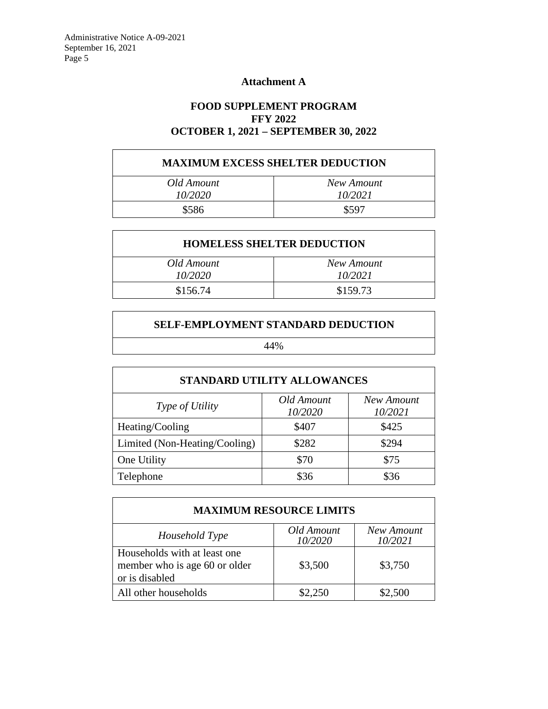# **Attachment A**

# **FOOD SUPPLEMENT PROGRAM FFY 2022 OCTOBER 1, 2021 – SEPTEMBER 30, 2022**

# **MAXIMUM EXCESS SHELTER DEDUCTION**

| Old Amount     | New Amount |
|----------------|------------|
| <i>10/2020</i> | 10/2021    |
| \$586          | \$597      |

| <b>HOMELESS SHELTER DEDUCTION</b> |            |  |  |
|-----------------------------------|------------|--|--|
| Old Amount                        | New Amount |  |  |
| 10/2020                           | 10/2021    |  |  |
| \$156.74                          | \$159.73   |  |  |

## **SELF-EMPLOYMENT STANDARD DEDUCTION**

44%

| <b>STANDARD UTILITY ALLOWANCES</b> |                       |                       |  |  |
|------------------------------------|-----------------------|-----------------------|--|--|
| <i>Type of Utility</i>             | Old Amount<br>10/2020 | New Amount<br>10/2021 |  |  |
| Heating/Cooling                    | \$407                 | \$425                 |  |  |
| Limited (Non-Heating/Cooling)      | \$282                 | \$294                 |  |  |
| One Utility                        | \$70                  | \$75                  |  |  |
| Telephone                          | \$36                  | \$36                  |  |  |

| <b>MAXIMUM RESOURCE LIMITS</b>                                                  |                       |                       |  |
|---------------------------------------------------------------------------------|-----------------------|-----------------------|--|
| Household Type                                                                  | Old Amount<br>10/2020 | New Amount<br>10/2021 |  |
| Households with at least one<br>member who is age 60 or older<br>or is disabled | \$3,500               | \$3,750               |  |
| All other households                                                            | \$2,250               | \$2,500               |  |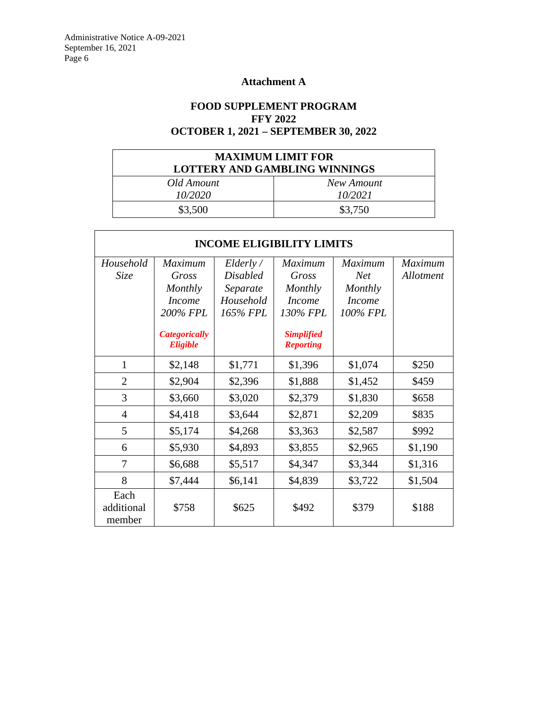# **Attachment A**

# **FOOD SUPPLEMENT PROGRAM FFY 2022 OCTOBER 1, 2021 – SEPTEMBER 30, 2022**

| <b>MAXIMUM LIMIT FOR</b><br>LOTTERY AND GAMBLING WINNINGS |            |  |
|-----------------------------------------------------------|------------|--|
| Old Amount                                                | New Amount |  |
| 10/2020                                                   | 10/2021    |  |
| \$3,500                                                   | \$3,750    |  |

| <b>INCOME ELIGIBILITY LIMITS</b> |                                         |                 |                                       |                 |                |
|----------------------------------|-----------------------------------------|-----------------|---------------------------------------|-----------------|----------------|
| Household                        | Maximum                                 | Elderly /       | <b>Maximum</b>                        | <b>Maximum</b>  | <b>Maximum</b> |
| Size                             | Gross                                   | <b>Disabled</b> | Gross                                 | Net <sub></sub> | Allotment      |
|                                  | Monthly                                 | Separate        | Monthly                               | Monthly         |                |
|                                  | <b>Income</b>                           | Household       | <b>Income</b>                         | <b>Income</b>   |                |
|                                  | 200% FPL                                | 165% FPL        | 130% FPL                              | 100% FPL        |                |
|                                  | <b>Categorically</b><br><b>Eligible</b> |                 | <b>Simplified</b><br><b>Reporting</b> |                 |                |
| 1                                | \$2,148                                 | \$1,771         | \$1,396                               | \$1,074         | \$250          |
| $\overline{2}$                   | \$2,904                                 | \$2,396         | \$1,888                               | \$1,452         | \$459          |
| 3                                | \$3,660                                 | \$3,020         | \$2,379                               | \$1,830         | \$658          |
| $\overline{4}$                   | \$4,418                                 | \$3,644         | \$2,871                               | \$2,209         | \$835          |
| 5                                | \$5,174                                 | \$4,268         | \$3,363                               | \$2,587         | \$992          |
| 6                                | \$5,930                                 | \$4,893         | \$3,855                               | \$2,965         | \$1,190        |
| 7                                | \$6,688                                 | \$5,517         | \$4,347                               | \$3,344         | \$1,316        |
| 8                                | \$7,444                                 | \$6,141         | \$4,839                               | \$3,722         | \$1,504        |
| Each<br>additional<br>member     | \$758                                   | \$625           | \$492                                 | \$379           | \$188          |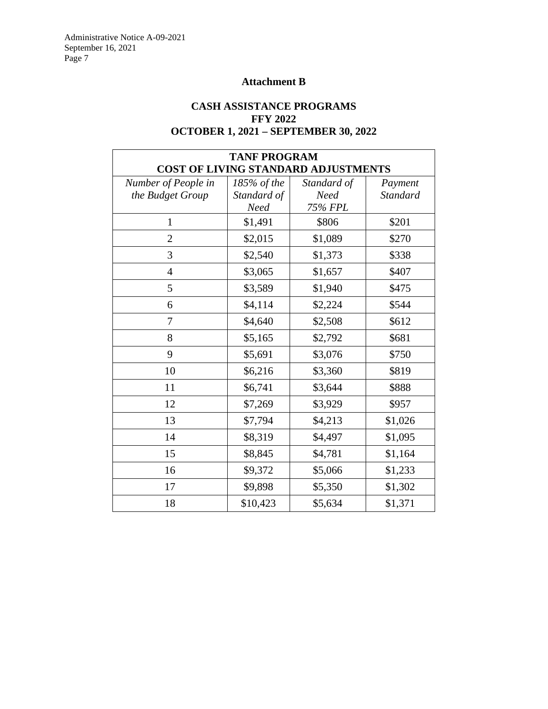# **Attachment B**

# **CASH ASSISTANCE PROGRAMS FFY 2022 OCTOBER 1, 2021 – SEPTEMBER 30, 2022**

| <b>TANF PROGRAM</b> |             |                                     |                 |
|---------------------|-------------|-------------------------------------|-----------------|
|                     |             | COST OF LIVING STANDARD ADJUSTMENTS |                 |
| Number of People in | 185% of the | Standard of                         | Payment         |
| the Budget Group    | Standard of | <b>Need</b>                         | <b>Standard</b> |
|                     | <b>Need</b> | 75% FPL                             |                 |
| 1                   | \$1,491     | \$806                               | \$201           |
| $\overline{2}$      | \$2,015     | \$1,089                             | \$270           |
| 3                   | \$2,540     | \$1,373                             | \$338           |
| $\overline{4}$      | \$3,065     | \$1,657                             | \$407           |
| 5                   | \$3,589     | \$1,940                             | \$475           |
| 6                   | \$4,114     | \$2,224                             | \$544           |
| 7                   | \$4,640     | \$2,508                             | \$612           |
| 8                   | \$5,165     | \$2,792                             | \$681           |
| 9                   | \$5,691     | \$3,076                             | \$750           |
| 10                  | \$6,216     | \$3,360                             | \$819           |
| 11                  | \$6,741     | \$3,644                             | \$888           |
| 12                  | \$7,269     | \$3,929                             | \$957           |
| 13                  | \$7,794     | \$4,213                             | \$1,026         |
| 14                  | \$8,319     | \$4,497                             | \$1,095         |
| 15                  | \$8,845     | \$4,781                             | \$1,164         |
| 16                  | \$9,372     | \$5,066                             | \$1,233         |
| 17                  | \$9,898     | \$5,350                             | \$1,302         |
| 18                  | \$10,423    | \$5,634                             | \$1,371         |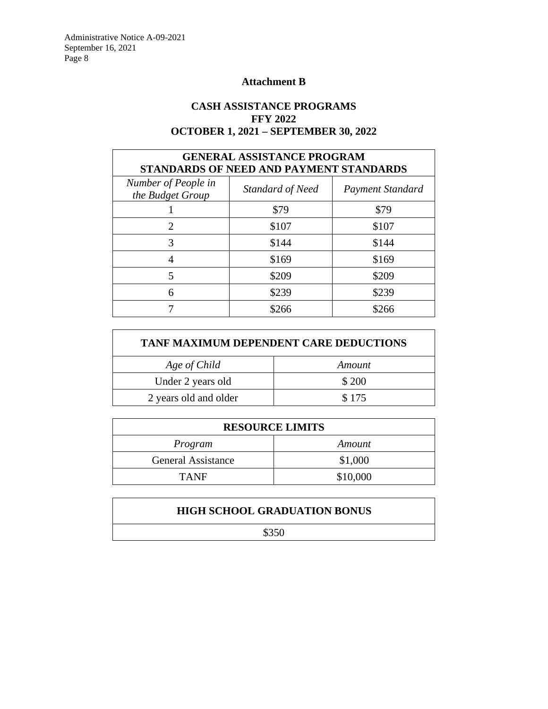Administrative Notice A-09-2021 September 16, 2021 Page 8

Г

# **Attachment B**

# **CASH ASSISTANCE PROGRAMS FFY 2022 OCTOBER 1, 2021 – SEPTEMBER 30, 2022**

| <b>GENERAL ASSISTANCE PROGRAM</b><br>STANDARDS OF NEED AND PAYMENT STANDARDS |                  |                         |  |
|------------------------------------------------------------------------------|------------------|-------------------------|--|
| Number of People in<br>the Budget Group                                      | Standard of Need | <b>Payment Standard</b> |  |
|                                                                              | \$79             | \$79                    |  |
| 2                                                                            | \$107            | \$107                   |  |
| 3                                                                            | \$144            | \$144                   |  |
|                                                                              | \$169            | \$169                   |  |
| 5                                                                            | \$209            | \$209                   |  |
| 6                                                                            | \$239            | \$239                   |  |
|                                                                              | \$266            | \$266                   |  |

| <b>TANF MAXIMUM DEPENDENT CARE DEDUCTIONS</b> |        |  |
|-----------------------------------------------|--------|--|
| Age of Child                                  | Amount |  |
| Under 2 years old                             | \$ 200 |  |
| \$175<br>2 years old and older                |        |  |

| <b>RESOURCE LIMITS</b>    |          |  |  |
|---------------------------|----------|--|--|
| Program                   | Amount   |  |  |
| <b>General Assistance</b> | \$1,000  |  |  |
| <b>TANF</b>               | \$10,000 |  |  |

| <b>HIGH SCHOOL GRADUATION BONUS</b> |  |  |  |  |
|-------------------------------------|--|--|--|--|
| \$350                               |  |  |  |  |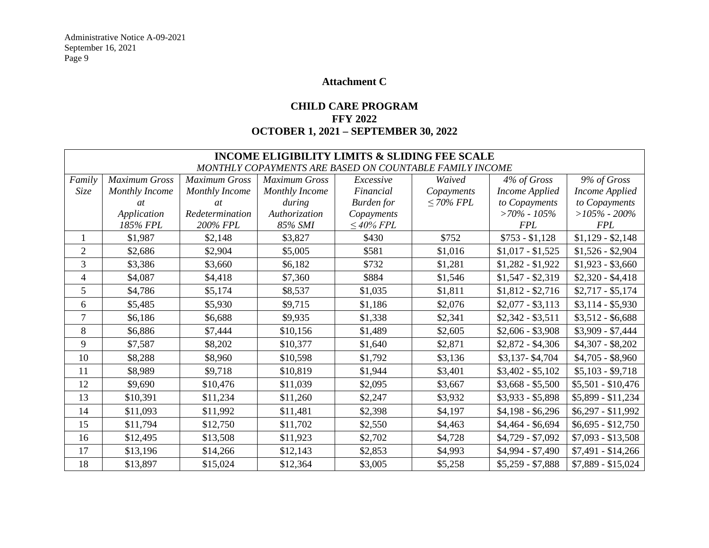# **Attachment C**

# **CHILD CARE PROGRAM FFY 2022 OCTOBER 1, 2021 – SEPTEMBER 30, 2022**

|                                                         | <b>INCOME ELIGIBILITY LIMITS &amp; SLIDING FEE SCALE</b> |                      |                      |                 |                 |                       |                       |
|---------------------------------------------------------|----------------------------------------------------------|----------------------|----------------------|-----------------|-----------------|-----------------------|-----------------------|
| MONTHLY COPAYMENTS ARE BASED ON COUNTABLE FAMILY INCOME |                                                          |                      |                      |                 |                 |                       |                       |
| Family                                                  | Maximum Gross                                            | <b>Maximum Gross</b> | <b>Maximum Gross</b> | Excessive       | Waived          | 4% of Gross           | 9% of Gross           |
| Size                                                    | Monthly Income                                           | Monthly Income       | Monthly Income       | Financial       | Copayments      | <b>Income Applied</b> | <b>Income Applied</b> |
|                                                         | <i>at</i>                                                | <i>at</i>            | during               | Burden for      | $\leq 70\%$ FPL | to Copayments         | to Copayments         |
|                                                         | Application                                              | Redetermination      | Authorization        | Copayments      |                 | $>70\%$ - 105%        | $>105\%$ - 200%       |
|                                                         | 185% FPL                                                 | 200% FPL             | 85% SMI              | $\leq 40\%$ FPL |                 | <b>FPL</b>            | <b>FPL</b>            |
| 1                                                       | \$1,987                                                  | \$2,148              | \$3,827              | \$430           | \$752           | $$753 - $1,128$       | $$1,129 - $2,148$     |
| $\mathfrak{2}$                                          | \$2,686                                                  | \$2,904              | \$5,005              | \$581           | \$1,016         | $$1,017 - $1,525$     | $$1,526 - $2,904$     |
| 3                                                       | \$3,386                                                  | \$3,660              | \$6,182              | \$732           | \$1,281         | $$1,282 - $1,922$     | $$1,923 - $3,660$     |
| $\overline{\mathcal{L}}$                                | \$4,087                                                  | \$4,418              | \$7,360              | \$884           | \$1,546         | $$1,547 - $2,319$     | $$2,320 - $4,418$     |
| 5                                                       | \$4,786                                                  | \$5,174              | \$8,537              | \$1,035         | \$1,811         | $$1,812 - $2,716$     | $$2,717 - $5,174$     |
| 6                                                       | \$5,485                                                  | \$5,930              | \$9,715              | \$1,186         | \$2,076         | $$2,077 - $3,113$     | $$3,114 - $5,930$     |
| 7                                                       | \$6,186                                                  | \$6,688              | \$9,935              | \$1,338         | \$2,341         | $$2,342 - $3,511$     | $$3,512 - $6,688$     |
| $8\,$                                                   | \$6,886                                                  | \$7,444              | \$10,156             | \$1,489         | \$2,605         | $$2,606 - $3,908$     | \$3,909 - \$7,444     |
| 9                                                       | \$7,587                                                  | \$8,202              | \$10,377             | \$1,640         | \$2,871         | $$2,872 - $4,306$     | $$4,307 - $8,202$     |
| 10                                                      | \$8,288                                                  | \$8,960              | \$10,598             | \$1,792         | \$3,136         | $$3,137 - $4,704$     | $$4,705 - $8,960$     |
| 11                                                      | \$8,989                                                  | \$9,718              | \$10,819             | \$1,944         | \$3,401         | $$3,402 - $5,102$     | $$5,103 - $9,718$     |
| 12                                                      | \$9,690                                                  | \$10,476             | \$11,039             | \$2,095         | \$3,667         | $$3,668 - $5,500$     | $$5,501 - $10,476$    |
| 13                                                      | \$10,391                                                 | \$11,234             | \$11,260             | \$2,247         | \$3,932         | $$3,933 - $5,898$     | $$5,899 - $11,234$    |
| 14                                                      | \$11,093                                                 | \$11,992             | \$11,481             | \$2,398         | \$4,197         | $$4,198 - $6,296$     | $$6,297 - $11,992$    |
| 15                                                      | \$11,794                                                 | \$12,750             | \$11,702             | \$2,550         | \$4,463         | $$4,464 - $6,694$     | $$6,695 - $12,750$    |
| 16                                                      | \$12,495                                                 | \$13,508             | \$11,923             | \$2,702         | \$4,728         | $$4,729 - $7,092$     | $$7,093 - $13,508$    |
| 17                                                      | \$13,196                                                 | \$14,266             | \$12,143             | \$2,853         | \$4,993         | \$4,994 - \$7,490     | $$7,491 - $14,266$    |
| 18                                                      | \$13,897                                                 | \$15,024             | \$12,364             | \$3,005         | \$5,258         | $$5,259 - $7,888$     | $$7,889 - $15,024$    |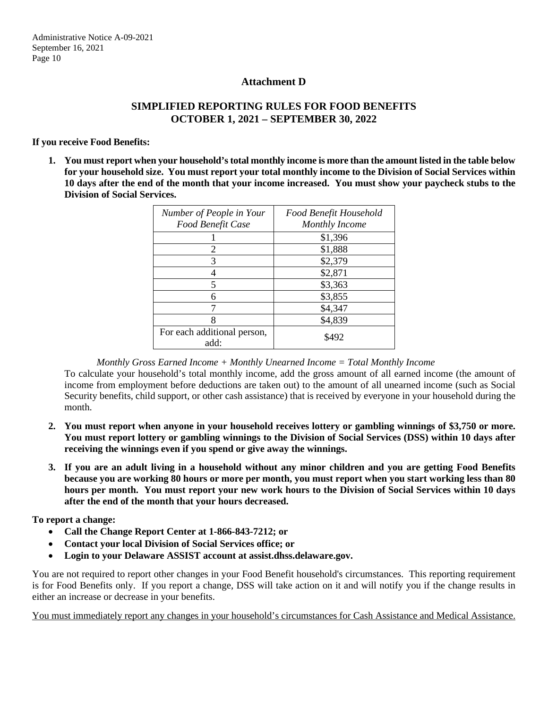### **Attachment D**

## **SIMPLIFIED REPORTING RULES FOR FOOD BENEFITS OCTOBER 1, 2021 – SEPTEMBER 30, 2022**

#### **If you receive Food Benefits:**

**1. You must report when your household's total monthly income is more than the amount listed in the table below for your household size. You must report your total monthly income to the Division of Social Services within 10 days after the end of the month that your income increased. You must show your paycheck stubs to the Division of Social Services.**

| Number of People in Your<br>Food Benefit Case | Food Benefit Household<br><b>Monthly Income</b> |
|-----------------------------------------------|-------------------------------------------------|
|                                               | \$1,396                                         |
| 2                                             | \$1,888                                         |
| 3                                             | \$2,379                                         |
|                                               | \$2,871                                         |
|                                               | \$3,363                                         |
| 6                                             | \$3,855                                         |
|                                               | \$4,347                                         |
| 8                                             | \$4,839                                         |
| For each additional person,<br>add:           | \$492                                           |

*Monthly Gross Earned Income + Monthly Unearned Income = Total Monthly Income*

To calculate your household's total monthly income, add the gross amount of all earned income (the amount of income from employment before deductions are taken out) to the amount of all unearned income (such as Social Security benefits, child support, or other cash assistance) that is received by everyone in your household during the month.

- **2. You must report when anyone in your household receives lottery or gambling winnings of \$3,750 or more. You must report lottery or gambling winnings to the Division of Social Services (DSS) within 10 days after receiving the winnings even if you spend or give away the winnings.**
- **3. If you are an adult living in a household without any minor children and you are getting Food Benefits because you are working 80 hours or more per month, you must report when you start working less than 80 hours per month. You must report your new work hours to the Division of Social Services within 10 days after the end of the month that your hours decreased.**

**To report a change:**

- **Call the Change Report Center at 1-866-843-7212; or**
- **Contact your local Division of Social Services office; or**
- **Login to your Delaware ASSIST account at assist.dhss.delaware.gov.**

You are not required to report other changes in your Food Benefit household's circumstances. This reporting requirement is for Food Benefits only. If you report a change, DSS will take action on it and will notify you if the change results in either an increase or decrease in your benefits.

You must immediately report any changes in your household's circumstances for Cash Assistance and Medical Assistance.